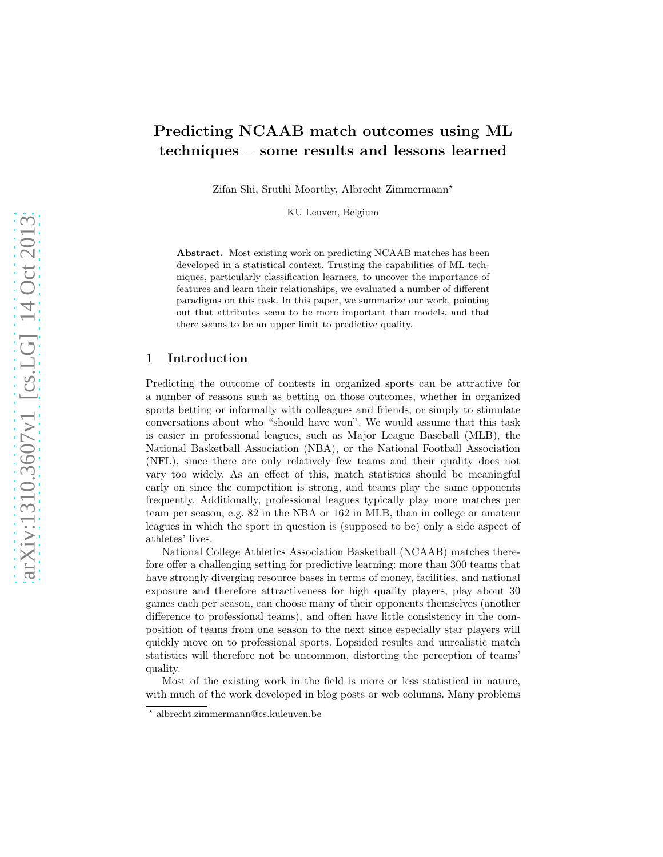# Predicting NCAAB match outcomes using ML techniques – some results and lessons learned

Zifan Shi, Sruthi Moorthy, Albrecht Zimmermann<sup>\*</sup>

KU Leuven, Belgium

Abstract. Most existing work on predicting NCAAB matches has been developed in a statistical context. Trusting the capabilities of ML techniques, particularly classification learners, to uncover the importance of features and learn their relationships, we evaluated a number of different paradigms on this task. In this paper, we summarize our work, pointing out that attributes seem to be more important than models, and that there seems to be an upper limit to predictive quality.

## 1 Introduction

Predicting the outcome of contests in organized sports can be attractive for a number of reasons such as betting on those outcomes, whether in organized sports betting or informally with colleagues and friends, or simply to stimulate conversations about who "should have won". We would assume that this task is easier in professional leagues, such as Major League Baseball (MLB), the National Basketball Association (NBA), or the National Football Association (NFL), since there are only relatively few teams and their quality does not vary too widely. As an effect of this, match statistics should be meaningful early on since the competition is strong, and teams play the same opponents frequently. Additionally, professional leagues typically play more matches per team per season, e.g. 82 in the NBA or 162 in MLB, than in college or amateur leagues in which the sport in question is (supposed to be) only a side aspect of athletes' lives.

National College Athletics Association Basketball (NCAAB) matches therefore offer a challenging setting for predictive learning: more than 300 teams that have strongly diverging resource bases in terms of money, facilities, and national exposure and therefore attractiveness for high quality players, play about 30 games each per season, can choose many of their opponents themselves (another difference to professional teams), and often have little consistency in the composition of teams from one season to the next since especially star players will quickly move on to professional sports. Lopsided results and unrealistic match statistics will therefore not be uncommon, distorting the perception of teams' quality.

Most of the existing work in the field is more or less statistical in nature, with much of the work developed in blog posts or web columns. Many problems

<sup>⋆</sup> albrecht.zimmermann@cs.kuleuven.be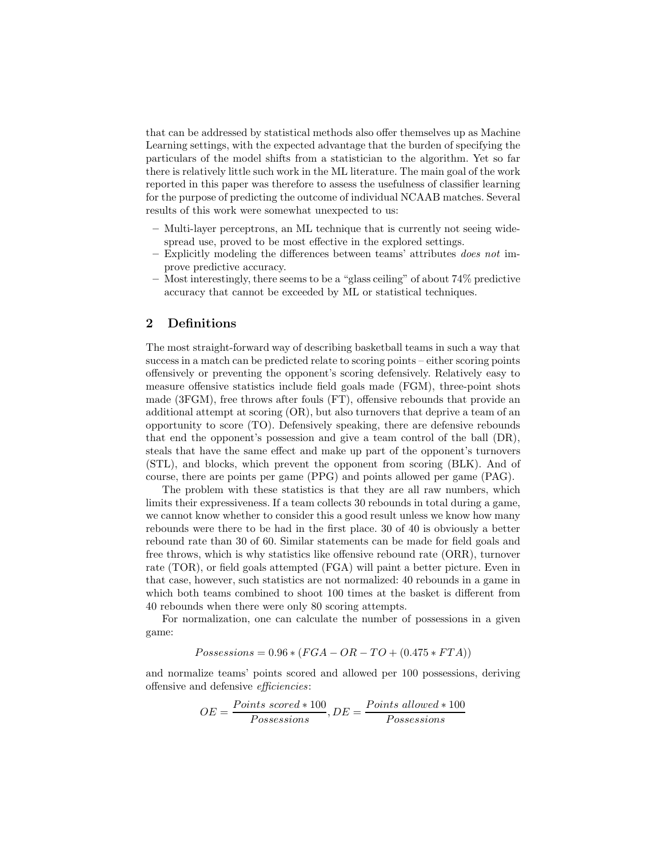that can be addressed by statistical methods also offer themselves up as Machine Learning settings, with the expected advantage that the burden of specifying the particulars of the model shifts from a statistician to the algorithm. Yet so far there is relatively little such work in the ML literature. The main goal of the work reported in this paper was therefore to assess the usefulness of classifier learning for the purpose of predicting the outcome of individual NCAAB matches. Several results of this work were somewhat unexpected to us:

- Multi-layer perceptrons, an ML technique that is currently not seeing widespread use, proved to be most effective in the explored settings.
- Explicitly modeling the differences between teams' attributes does not improve predictive accuracy.
- Most interestingly, there seems to be a "glass ceiling" of about 74% predictive accuracy that cannot be exceeded by ML or statistical techniques.

## 2 Definitions

The most straight-forward way of describing basketball teams in such a way that success in a match can be predicted relate to scoring points – either scoring points offensively or preventing the opponent's scoring defensively. Relatively easy to measure offensive statistics include field goals made (FGM), three-point shots made (3FGM), free throws after fouls (FT), offensive rebounds that provide an additional attempt at scoring (OR), but also turnovers that deprive a team of an opportunity to score (TO). Defensively speaking, there are defensive rebounds that end the opponent's possession and give a team control of the ball (DR), steals that have the same effect and make up part of the opponent's turnovers (STL), and blocks, which prevent the opponent from scoring (BLK). And of course, there are points per game (PPG) and points allowed per game (PAG).

The problem with these statistics is that they are all raw numbers, which limits their expressiveness. If a team collects 30 rebounds in total during a game, we cannot know whether to consider this a good result unless we know how many rebounds were there to be had in the first place. 30 of 40 is obviously a better rebound rate than 30 of 60. Similar statements can be made for field goals and free throws, which is why statistics like offensive rebound rate (ORR), turnover rate (TOR), or field goals attempted (FGA) will paint a better picture. Even in that case, however, such statistics are not normalized: 40 rebounds in a game in which both teams combined to shoot 100 times at the basket is different from 40 rebounds when there were only 80 scoring attempts.

For normalization, one can calculate the number of possessions in a given game:

 $Posses sions = 0.96 * (FGA - OR - TO + (0.475 * FTA))$ 

and normalize teams' points scored and allowed per 100 possessions, deriving offensive and defensive efficiencies:

$$
OE = \frac{Points\ scored \ast 100}{Possesisions}, DE = \frac{Points\ allowed \ast 100}{Possesisions}
$$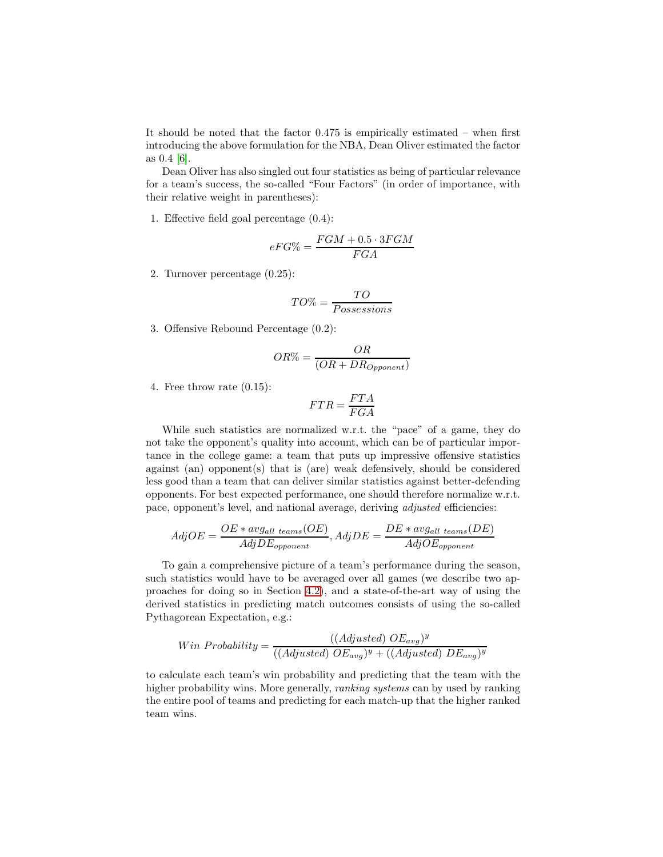It should be noted that the factor 0.475 is empirically estimated – when first introducing the above formulation for the NBA, Dean Oliver estimated the factor as 0.4 [\[6\]](#page-9-0).

Dean Oliver has also singled out four statistics as being of particular relevance for a team's success, the so-called "Four Factors" (in order of importance, with their relative weight in parentheses):

1. Effective field goal percentage (0.4):

$$
eFG\% = \frac{FGM + 0.5 \cdot 3FGM}{FGA}
$$

2. Turnover percentage (0.25):

$$
TO\% = \frac{TO}{Possesisions}
$$

3. Offensive Rebound Percentage (0.2):

$$
OR\% = \frac{OR}{(OR + DR_{Opponent})}
$$

4. Free throw rate (0.15):

$$
FTR = \frac{FTA}{FGA}
$$

While such statistics are normalized w.r.t. the "pace" of a game, they do not take the opponent's quality into account, which can be of particular importance in the college game: a team that puts up impressive offensive statistics against (an) opponent(s) that is (are) weak defensively, should be considered less good than a team that can deliver similar statistics against better-defending opponents. For best expected performance, one should therefore normalize w.r.t. pace, opponent's level, and national average, deriving *adjusted* efficiencies:

$$
AdjOE = \frac{OE * avg_{all \; teams}(OE)}{AdjDE_{opponent}}, AdjDE = \frac{DE * avg_{all \; teams}(DE)}{AdjOE_{opponent}}
$$

To gain a comprehensive picture of a team's performance during the season, such statistics would have to be averaged over all games (we describe two approaches for doing so in Section [4.2\)](#page-5-0), and a state-of-the-art way of using the derived statistics in predicting match outcomes consists of using the so-called Pythagorean Expectation, e.g.:

$$
Win\ Probability = \frac{((Adjusted)\ OE_{avg})^y}{((Adjusted)\ OE_{avg})^y + ((Adjusted)\ DE_{avg})^y}
$$

to calculate each team's win probability and predicting that the team with the higher probability wins. More generally, *ranking systems* can by used by ranking the entire pool of teams and predicting for each match-up that the higher ranked team wins.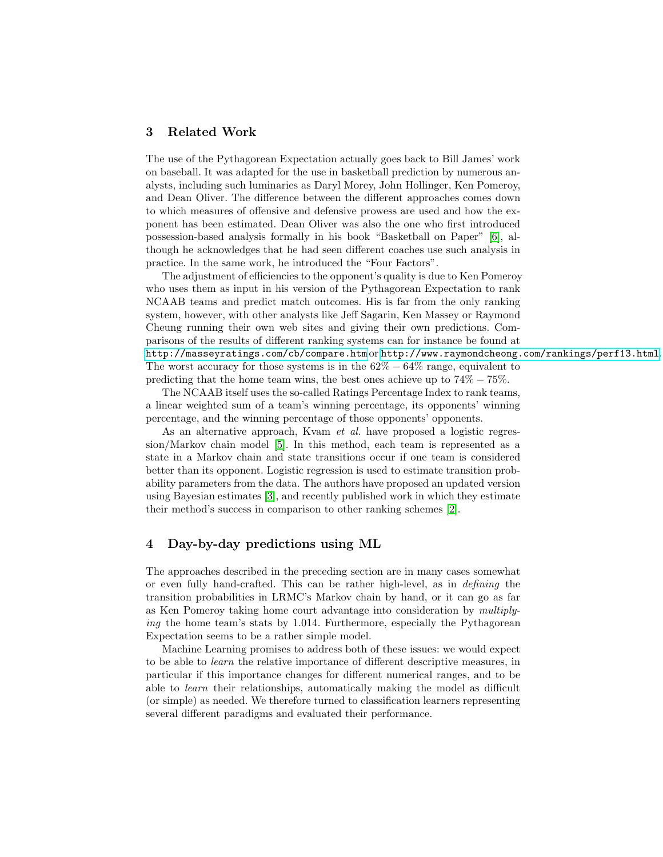## <span id="page-3-0"></span>3 Related Work

The use of the Pythagorean Expectation actually goes back to Bill James' work on baseball. It was adapted for the use in basketball prediction by numerous analysts, including such luminaries as Daryl Morey, John Hollinger, Ken Pomeroy, and Dean Oliver. The difference between the different approaches comes down to which measures of offensive and defensive prowess are used and how the exponent has been estimated. Dean Oliver was also the one who first introduced possession-based analysis formally in his book "Basketball on Paper" [\[6\]](#page-9-0), although he acknowledges that he had seen different coaches use such analysis in practice. In the same work, he introduced the "Four Factors".

The adjustment of efficiencies to the opponent's quality is due to Ken Pomeroy who uses them as input in his version of the Pythagorean Expectation to rank NCAAB teams and predict match outcomes. His is far from the only ranking system, however, with other analysts like Jeff Sagarin, Ken Massey or Raymond Cheung running their own web sites and giving their own predictions. Comparisons of the results of different ranking systems can for instance be found at <http://masseyratings.com/cb/compare.htm> or <http://www.raymondcheong.com/rankings/perf13.html>. The worst accuracy for those systems is in the  $62\% - 64\%$  range, equivalent to predicting that the home team wins, the best ones achieve up to  $74\% - 75\%$ .

The NCAAB itself uses the so-called Ratings Percentage Index to rank teams, a linear weighted sum of a team's winning percentage, its opponents' winning percentage, and the winning percentage of those opponents' opponents.

As an alternative approach, Kvam *et al.* have proposed a logistic regression/Markov chain model [\[5\]](#page-9-1). In this method, each team is represented as a state in a Markov chain and state transitions occur if one team is considered better than its opponent. Logistic regression is used to estimate transition probability parameters from the data. The authors have proposed an updated version using Bayesian estimates [\[3\]](#page-9-2), and recently published work in which they estimate their method's success in comparison to other ranking schemes [\[2\]](#page-9-3).

## 4 Day-by-day predictions using ML

The approaches described in the preceding section are in many cases somewhat or even fully hand-crafted. This can be rather high-level, as in defining the transition probabilities in LRMC's Markov chain by hand, or it can go as far as Ken Pomeroy taking home court advantage into consideration by multiplying the home team's stats by 1.014. Furthermore, especially the Pythagorean Expectation seems to be a rather simple model.

Machine Learning promises to address both of these issues: we would expect to be able to learn the relative importance of different descriptive measures, in particular if this importance changes for different numerical ranges, and to be able to learn their relationships, automatically making the model as difficult (or simple) as needed. We therefore turned to classification learners representing several different paradigms and evaluated their performance.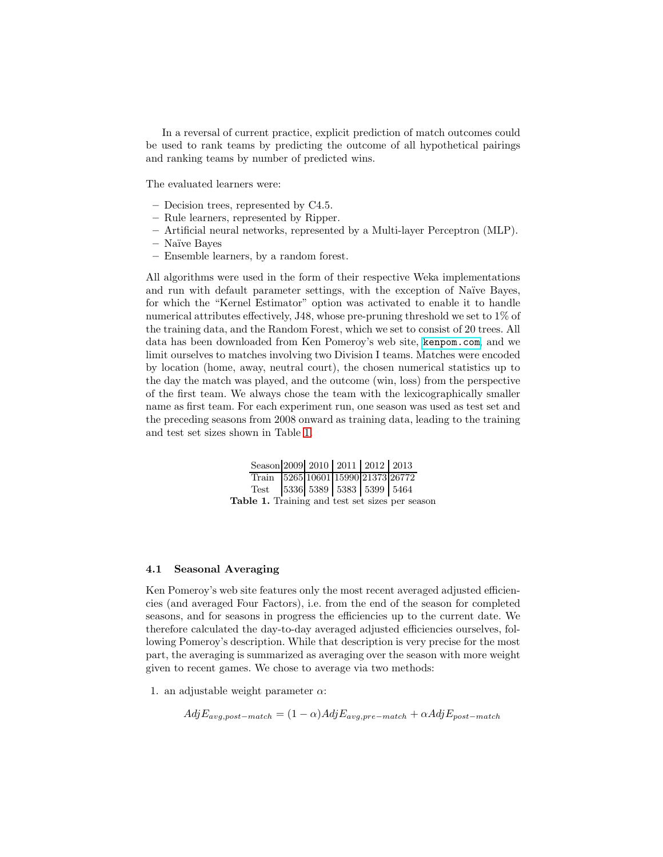In a reversal of current practice, explicit prediction of match outcomes could be used to rank teams by predicting the outcome of all hypothetical pairings and ranking teams by number of predicted wins.

The evaluated learners were:

- Decision trees, represented by C4.5.
- Rule learners, represented by Ripper.
- Artificial neural networks, represented by a Multi-layer Perceptron (MLP).
- Na¨ıve Bayes
- Ensemble learners, by a random forest.

All algorithms were used in the form of their respective Weka implementations and run with default parameter settings, with the exception of Naïve Bayes, for which the "Kernel Estimator" option was activated to enable it to handle numerical attributes effectively, J48, whose pre-pruning threshold we set to 1% of the training data, and the Random Forest, which we set to consist of 20 trees. All data has been downloaded from Ken Pomeroy's web site, <kenpom.com>, and we limit ourselves to matches involving two Division I teams. Matches were encoded by location (home, away, neutral court), the chosen numerical statistics up to the day the match was played, and the outcome (win, loss) from the perspective of the first team. We always chose the team with the lexicographically smaller name as first team. For each experiment run, one season was used as test set and the preceding seasons from 2008 onward as training data, leading to the training and test set sizes shown in Table [1.](#page-4-0)

<span id="page-4-0"></span>

| Season 2009 2010 2011 2012 2013                 |  |  |  |
|-------------------------------------------------|--|--|--|
| Train 5265 10601 15990 21373 26772              |  |  |  |
| Test 5336 5389 5383 5399 5464                   |  |  |  |
| Table 1. Training and test set sizes per season |  |  |  |

#### 4.1 Seasonal Averaging

Ken Pomeroy's web site features only the most recent averaged adjusted efficiencies (and averaged Four Factors), i.e. from the end of the season for completed seasons, and for seasons in progress the efficiencies up to the current date. We therefore calculated the day-to-day averaged adjusted efficiencies ourselves, following Pomeroy's description. While that description is very precise for the most part, the averaging is summarized as averaging over the season with more weight given to recent games. We chose to average via two methods:

1. an adjustable weight parameter  $\alpha$ :

 $AdjE_{avg,post-match} = (1 - \alpha)AdjE_{avg,pre-match} + \alpha AdjE_{post-match}$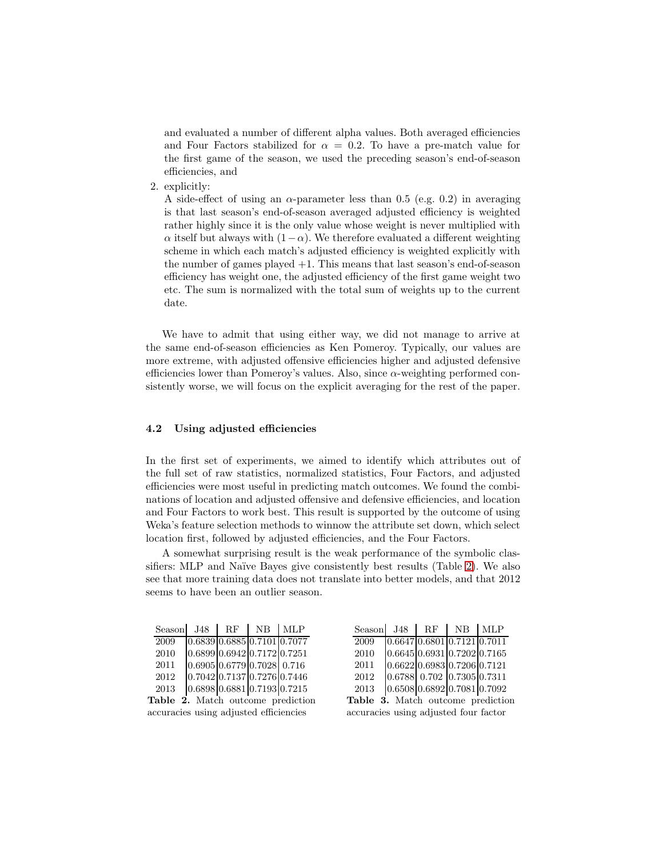and evaluated a number of different alpha values. Both averaged efficiencies and Four Factors stabilized for  $\alpha = 0.2$ . To have a pre-match value for the first game of the season, we used the preceding season's end-of-season efficiencies, and

2. explicitly:

A side-effect of using an  $\alpha$ -parameter less than 0.5 (e.g. 0.2) in averaging is that last season's end-of-season averaged adjusted efficiency is weighted rather highly since it is the only value whose weight is never multiplied with  $\alpha$  itself but always with  $(1-\alpha)$ . We therefore evaluated a different weighting scheme in which each match's adjusted efficiency is weighted explicitly with the number of games played +1. This means that last season's end-of-season efficiency has weight one, the adjusted efficiency of the first game weight two etc. The sum is normalized with the total sum of weights up to the current date.

We have to admit that using either way, we did not manage to arrive at the same end-of-season efficiencies as Ken Pomeroy. Typically, our values are more extreme, with adjusted offensive efficiencies higher and adjusted defensive efficiencies lower than Pomeroy's values. Also, since  $\alpha$ -weighting performed consistently worse, we will focus on the explicit averaging for the rest of the paper.

## <span id="page-5-0"></span>4.2 Using adjusted efficiencies

In the first set of experiments, we aimed to identify which attributes out of the full set of raw statistics, normalized statistics, Four Factors, and adjusted efficiencies were most useful in predicting match outcomes. We found the combinations of location and adjusted offensive and defensive efficiencies, and location and Four Factors to work best. This result is supported by the outcome of using Weka's feature selection methods to winnow the attribute set down, which select location first, followed by adjusted efficiencies, and the Four Factors.

A somewhat surprising result is the weak performance of the symbolic clas-sifiers: MLP and Naïve Bayes give consistently best results (Table [2\)](#page-5-1). We also see that more training data does not translate into better models, and that 2012 seems to have been an outlier season.

<span id="page-5-2"></span><span id="page-5-1"></span>

|                                        | Season |                                                    |  | $J48$ RF NB MLP |                                              | Season $J48$ RF $\overline{AB}$ MLP      |  |  |                                        |  |  |  |
|----------------------------------------|--------|----------------------------------------------------|--|-----------------|----------------------------------------------|------------------------------------------|--|--|----------------------------------------|--|--|--|
|                                        | 2009   |                                                    |  |                 | $0.6839 \mid 0.6885 \mid 0.7101 \mid 0.7077$ | 2009                                     |  |  | 0.66470.68010.71210.7011               |  |  |  |
|                                        | 2010   | $0.6899 \, 0.6942 \, 0.7172 \, 0.7251$             |  |                 |                                              | 2010                                     |  |  | $0.6645 \, 0.6931 \, 0.7202 \, 0.7165$ |  |  |  |
|                                        | 2011   | $0.6905 \, 0.6779 \, 0.7028 \, 0.716$              |  |                 |                                              | 2011                                     |  |  | $0.6622$ 0.6983 0.7206 0.7121          |  |  |  |
|                                        | 2012   | $0.7042 \times 0.7137 \times 0.7276 \times 0.7446$ |  |                 |                                              | 2012                                     |  |  | $0.6788$ 0.702 $0.7305$ 0.7311         |  |  |  |
|                                        | 2013   |                                                    |  |                 | $0.6898 \, 0.6881 \, 0.7193 \, 0.7215$       | 2013                                     |  |  | $0.6508$ 0.6892 0.7081 0.7092          |  |  |  |
| Table 2. Match outcome prediction      |        |                                                    |  |                 |                                              | <b>Table 3.</b> Match outcome prediction |  |  |                                        |  |  |  |
| accuracies using adjusted efficiencies |        |                                                    |  |                 |                                              | accuracies using adjusted four factor    |  |  |                                        |  |  |  |
|                                        |        |                                                    |  |                 |                                              |                                          |  |  |                                        |  |  |  |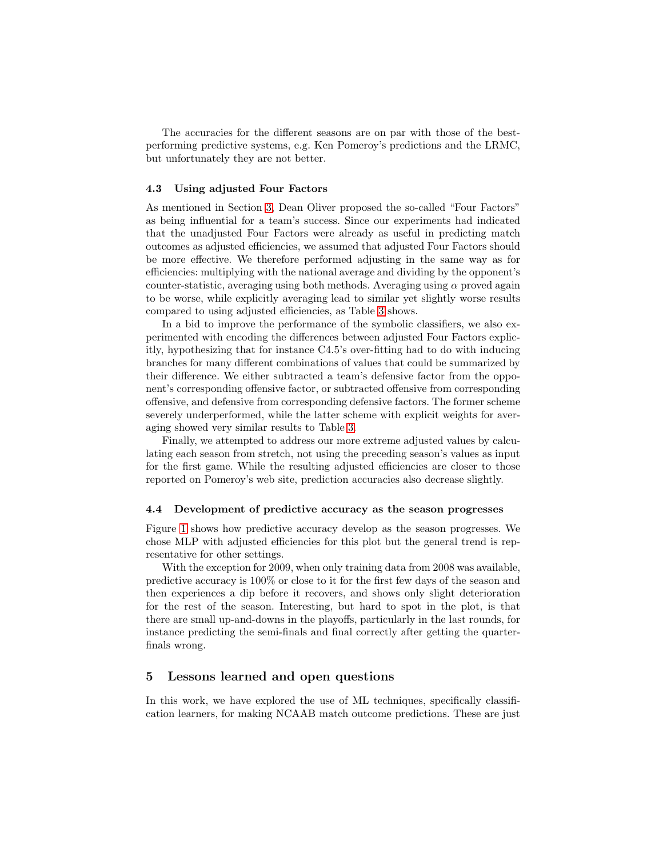The accuracies for the different seasons are on par with those of the bestperforming predictive systems, e.g. Ken Pomeroy's predictions and the LRMC, but unfortunately they are not better.

#### 4.3 Using adjusted Four Factors

As mentioned in Section [3,](#page-3-0) Dean Oliver proposed the so-called "Four Factors" as being influential for a team's success. Since our experiments had indicated that the unadjusted Four Factors were already as useful in predicting match outcomes as adjusted efficiencies, we assumed that adjusted Four Factors should be more effective. We therefore performed adjusting in the same way as for efficiencies: multiplying with the national average and dividing by the opponent's counter-statistic, averaging using both methods. Averaging using  $\alpha$  proved again to be worse, while explicitly averaging lead to similar yet slightly worse results compared to using adjusted efficiencies, as Table [3](#page-5-2) shows.

In a bid to improve the performance of the symbolic classifiers, we also experimented with encoding the differences between adjusted Four Factors explicitly, hypothesizing that for instance C4.5's over-fitting had to do with inducing branches for many different combinations of values that could be summarized by their difference. We either subtracted a team's defensive factor from the opponent's corresponding offensive factor, or subtracted offensive from corresponding offensive, and defensive from corresponding defensive factors. The former scheme severely underperformed, while the latter scheme with explicit weights for averaging showed very similar results to Table [3.](#page-5-2)

Finally, we attempted to address our more extreme adjusted values by calculating each season from stretch, not using the preceding season's values as input for the first game. While the resulting adjusted efficiencies are closer to those reported on Pomeroy's web site, prediction accuracies also decrease slightly.

## 4.4 Development of predictive accuracy as the season progresses

Figure [1](#page-7-0) shows how predictive accuracy develop as the season progresses. We chose MLP with adjusted efficiencies for this plot but the general trend is representative for other settings.

With the exception for 2009, when only training data from 2008 was available, predictive accuracy is 100% or close to it for the first few days of the season and then experiences a dip before it recovers, and shows only slight deterioration for the rest of the season. Interesting, but hard to spot in the plot, is that there are small up-and-downs in the playoffs, particularly in the last rounds, for instance predicting the semi-finals and final correctly after getting the quarterfinals wrong.

## 5 Lessons learned and open questions

In this work, we have explored the use of ML techniques, specifically classification learners, for making NCAAB match outcome predictions. These are just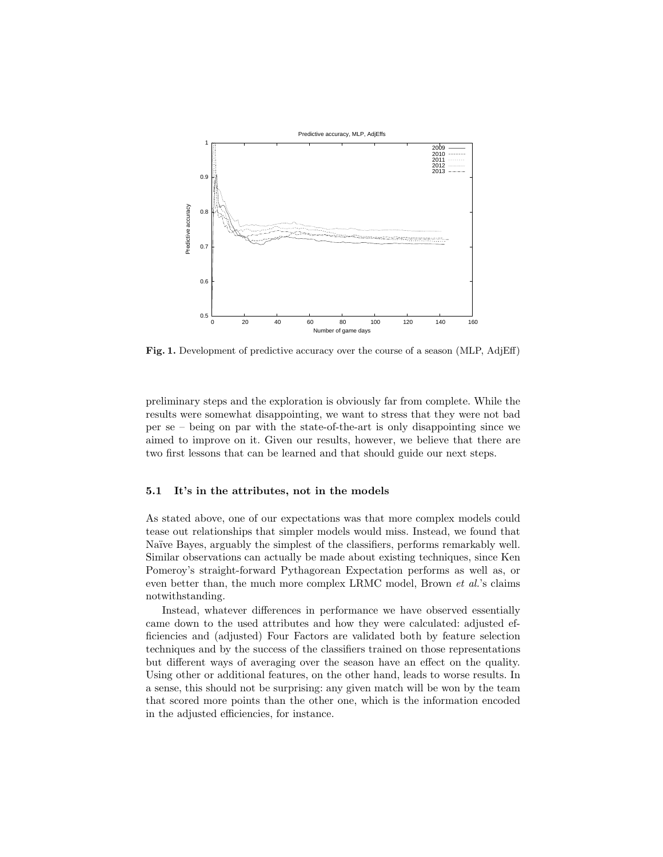

<span id="page-7-0"></span>Fig. 1. Development of predictive accuracy over the course of a season (MLP, AdjEff)

preliminary steps and the exploration is obviously far from complete. While the results were somewhat disappointing, we want to stress that they were not bad per se – being on par with the state-of-the-art is only disappointing since we aimed to improve on it. Given our results, however, we believe that there are two first lessons that can be learned and that should guide our next steps.

#### 5.1 It's in the attributes, not in the models

As stated above, one of our expectations was that more complex models could tease out relationships that simpler models would miss. Instead, we found that Naïve Bayes, arguably the simplest of the classifiers, performs remarkably well. Similar observations can actually be made about existing techniques, since Ken Pomeroy's straight-forward Pythagorean Expectation performs as well as, or even better than, the much more complex LRMC model, Brown et al.'s claims notwithstanding.

Instead, whatever differences in performance we have observed essentially came down to the used attributes and how they were calculated: adjusted efficiencies and (adjusted) Four Factors are validated both by feature selection techniques and by the success of the classifiers trained on those representations but different ways of averaging over the season have an effect on the quality. Using other or additional features, on the other hand, leads to worse results. In a sense, this should not be surprising: any given match will be won by the team that scored more points than the other one, which is the information encoded in the adjusted efficiencies, for instance.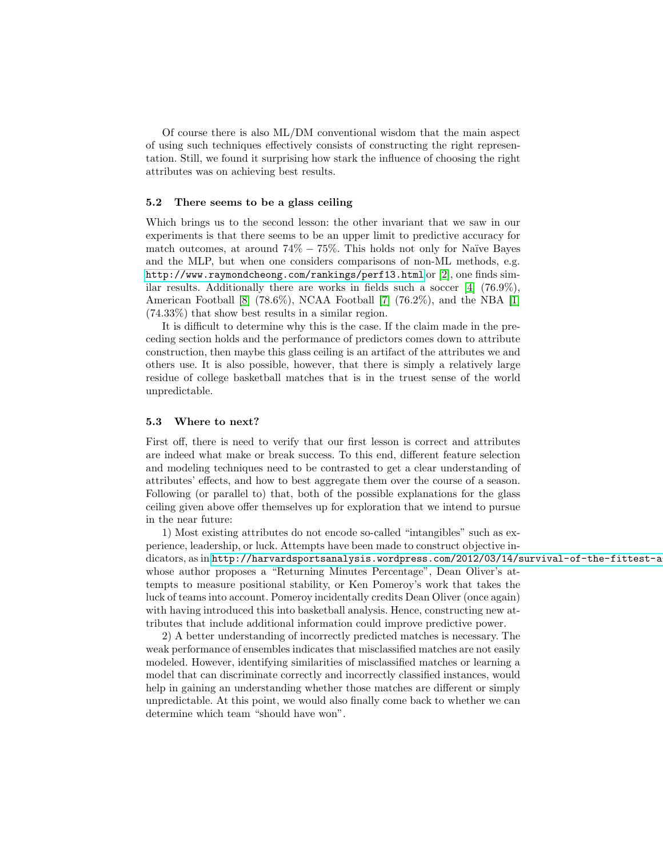Of course there is also ML/DM conventional wisdom that the main aspect of using such techniques effectively consists of constructing the right representation. Still, we found it surprising how stark the influence of choosing the right attributes was on achieving best results.

## 5.2 There seems to be a glass ceiling

Which brings us to the second lesson: the other invariant that we saw in our experiments is that there seems to be an upper limit to predictive accuracy for match outcomes, at around  $74\% - 75\%$ . This holds not only for Naïve Bayes and the MLP, but when one considers comparisons of non-ML methods, e.g. <http://www.raymondcheong.com/rankings/perf13.html> or [\[2\]](#page-9-3), one finds similar results. Additionally there are works in fields such a soccer  $[4]$  (76.9%), American Football  $[8]$  (78.6%), NCAA Football  $[7]$  (76.2%), and the NBA  $[1]$ (74.33%) that show best results in a similar region.

It is difficult to determine why this is the case. If the claim made in the preceding section holds and the performance of predictors comes down to attribute construction, then maybe this glass ceiling is an artifact of the attributes we and others use. It is also possible, however, that there is simply a relatively large residue of college basketball matches that is in the truest sense of the world unpredictable.

#### 5.3 Where to next?

First off, there is need to verify that our first lesson is correct and attributes are indeed what make or break success. To this end, different feature selection and modeling techniques need to be contrasted to get a clear understanding of attributes' effects, and how to best aggregate them over the course of a season. Following (or parallel to) that, both of the possible explanations for the glass ceiling given above offer themselves up for exploration that we intend to pursue in the near future:

1) Most existing attributes do not encode so-called "intangibles" such as experience, leadership, or luck. Attempts have been made to construct objective indicators, as in http://harvardsportsanalysis.wordpress.com/2012/03/14/survival-of-the-fittest-a whose author proposes a "Returning Minutes Percentage", Dean Oliver's attempts to measure positional stability, or Ken Pomeroy's work that takes the luck of teams into account. Pomeroy incidentally credits Dean Oliver (once again) with having introduced this into basketball analysis. Hence, constructing new attributes that include additional information could improve predictive power.

2) A better understanding of incorrectly predicted matches is necessary. The weak performance of ensembles indicates that misclassified matches are not easily modeled. However, identifying similarities of misclassified matches or learning a model that can discriminate correctly and incorrectly classified instances, would help in gaining an understanding whether those matches are different or simply unpredictable. At this point, we would also finally come back to whether we can determine which team "should have won".